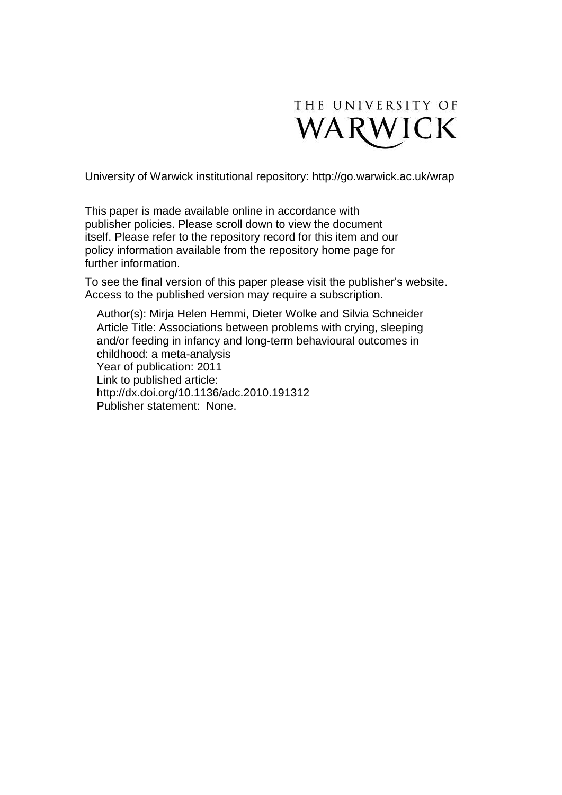

University of Warwick institutional repository:<http://go.warwick.ac.uk/wrap>

This paper is made available online in accordance with publisher policies. Please scroll down to view the document itself. Please refer to the repository record for this item and our policy information available from the repository home page for further information.

To see the final version of this paper please visit the publisher's website. Access to the published version may require a subscription.

Author(s): Mirja Helen Hemmi, Dieter Wolke and Silvia Schneider Article Title: Associations between problems with crying, sleeping and/or feeding in infancy and long-term behavioural outcomes in childhood: a meta-analysis Year of publication: 2011 Link to published article: http://dx.doi.org/10.1136/adc.2010.191312 Publisher statement: None.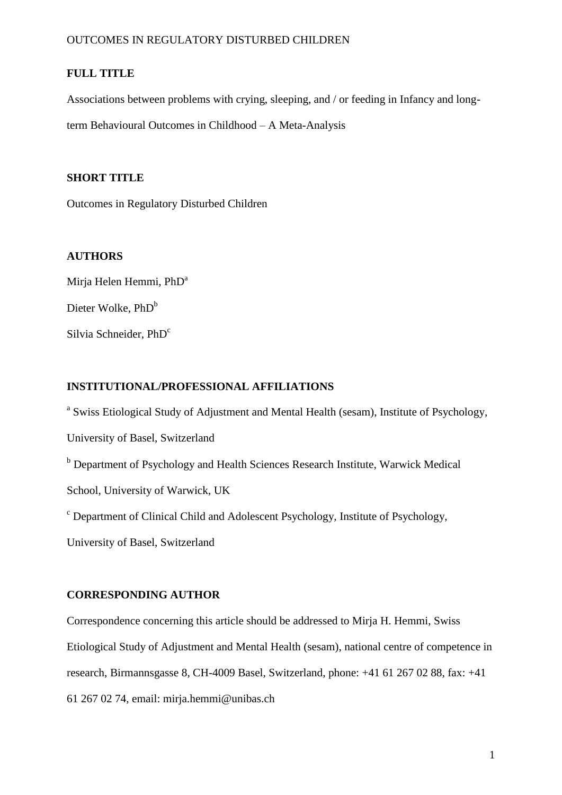# **FULL TITLE**

Associations between problems with crying, sleeping, and / or feeding in Infancy and longterm Behavioural Outcomes in Childhood – A Meta-Analysis

# **SHORT TITLE**

Outcomes in Regulatory Disturbed Children

# **AUTHORS**

Mirja Helen Hemmi, PhD<sup>a</sup> Dieter Wolke, PhD<sup>b</sup> Silvia Schneider, PhD<sup>c</sup>

# **INSTITUTIONAL/PROFESSIONAL AFFILIATIONS**

<sup>a</sup> Swiss Etiological Study of Adjustment and Mental Health (sesam), Institute of Psychology,

University of Basel, Switzerland

b Department of Psychology and Health Sciences Research Institute, Warwick Medical

School, University of Warwick, UK

<sup>c</sup> Department of Clinical Child and Adolescent Psychology, Institute of Psychology,

University of Basel, Switzerland

# **CORRESPONDING AUTHOR**

Correspondence concerning this article should be addressed to Mirja H. Hemmi, Swiss Etiological Study of Adjustment and Mental Health (sesam), national centre of competence in research, Birmannsgasse 8, CH-4009 Basel, Switzerland, phone: +41 61 267 02 88, fax: +41 61 267 02 74, email: mirja.hemmi@unibas.ch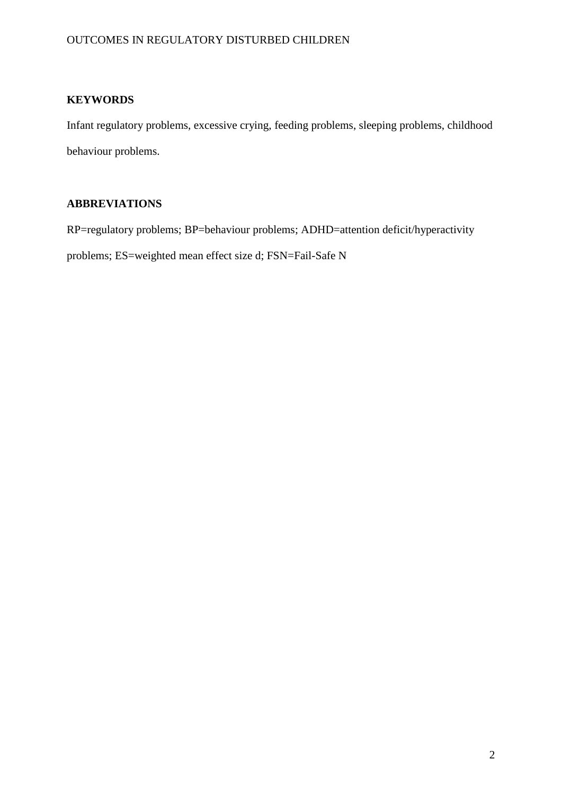# **KEYWORDS**

Infant regulatory problems, excessive crying, feeding problems, sleeping problems, childhood behaviour problems.

# **ABBREVIATIONS**

RP=regulatory problems; BP=behaviour problems; ADHD=attention deficit/hyperactivity problems; ES=weighted mean effect size d; FSN=Fail-Safe N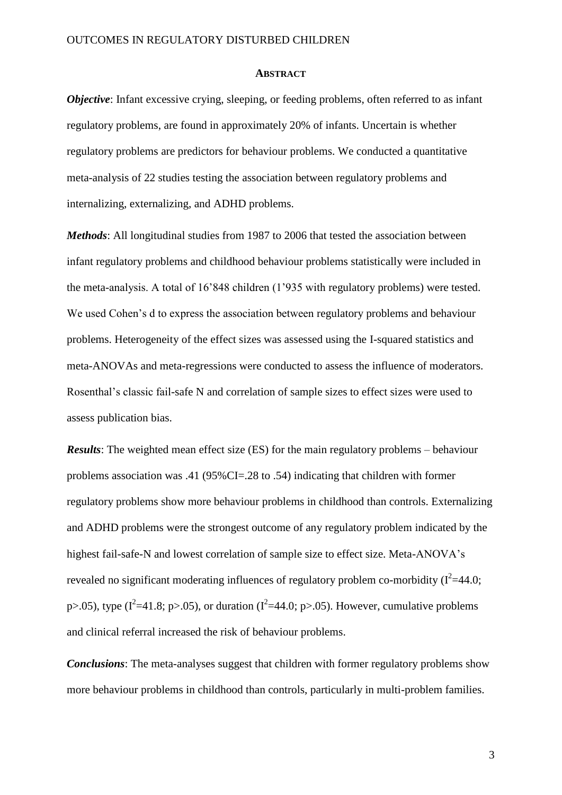#### **ABSTRACT**

*Objective*: Infant excessive crying, sleeping, or feeding problems, often referred to as infant regulatory problems, are found in approximately 20% of infants. Uncertain is whether regulatory problems are predictors for behaviour problems. We conducted a quantitative meta-analysis of 22 studies testing the association between regulatory problems and internalizing, externalizing, and ADHD problems.

*Methods*: All longitudinal studies from 1987 to 2006 that tested the association between infant regulatory problems and childhood behaviour problems statistically were included in the meta-analysis. A total of 16'848 children (1'935 with regulatory problems) were tested. We used Cohen's d to express the association between regulatory problems and behaviour problems. Heterogeneity of the effect sizes was assessed using the I-squared statistics and meta-ANOVAs and meta-regressions were conducted to assess the influence of moderators. Rosenthal's classic fail-safe N and correlation of sample sizes to effect sizes were used to assess publication bias.

*Results*: The weighted mean effect size (ES) for the main regulatory problems – behaviour problems association was .41 (95%CI=.28 to .54) indicating that children with former regulatory problems show more behaviour problems in childhood than controls. Externalizing and ADHD problems were the strongest outcome of any regulatory problem indicated by the highest fail-safe-N and lowest correlation of sample size to effect size. Meta-ANOVA's revealed no significant moderating influences of regulatory problem co-morbidity  $(I^2=44.0;$ p>.05), type ( $I^2$ =41.8; p>.05), or duration ( $I^2$ =44.0; p>.05). However, cumulative problems and clinical referral increased the risk of behaviour problems.

*Conclusions*: The meta-analyses suggest that children with former regulatory problems show more behaviour problems in childhood than controls, particularly in multi-problem families.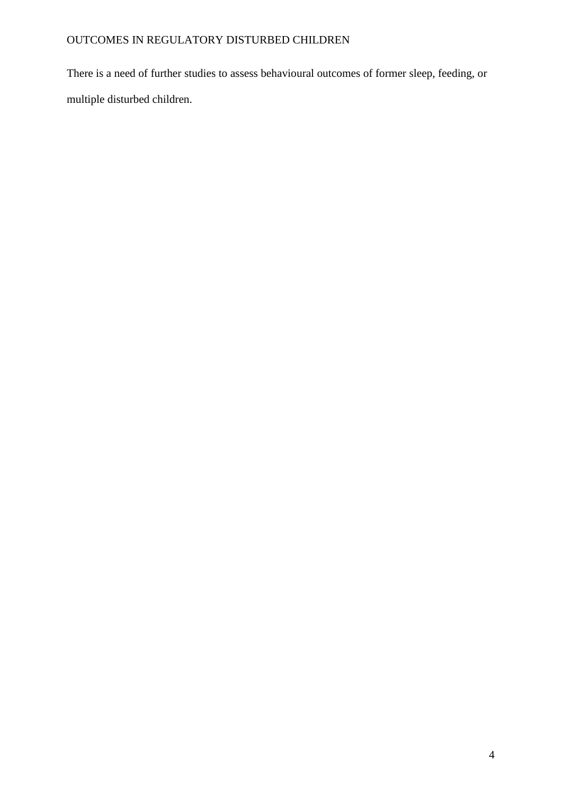There is a need of further studies to assess behavioural outcomes of former sleep, feeding, or multiple disturbed children.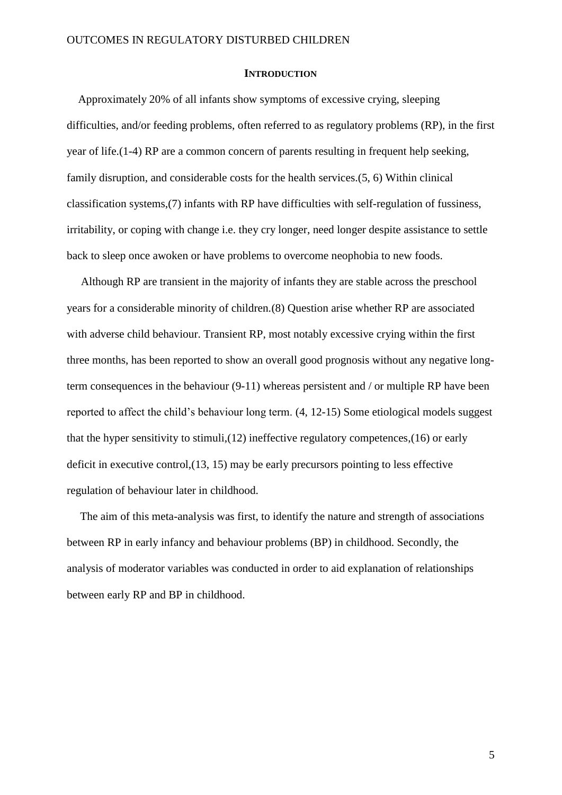### **INTRODUCTION**

Approximately 20% of all infants show symptoms of excessive crying, sleeping difficulties, and/or feeding problems, often referred to as regulatory problems (RP), in the first year of life.(1-4) RP are a common concern of parents resulting in frequent help seeking, family disruption, and considerable costs for the health services.(5, 6) Within clinical classification systems,(7) infants with RP have difficulties with self-regulation of fussiness, irritability, or coping with change i.e. they cry longer, need longer despite assistance to settle back to sleep once awoken or have problems to overcome neophobia to new foods.

Although RP are transient in the majority of infants they are stable across the preschool years for a considerable minority of children.(8) Question arise whether RP are associated with adverse child behaviour. Transient RP, most notably excessive crying within the first three months, has been reported to show an overall good prognosis without any negative longterm consequences in the behaviour (9-11) whereas persistent and / or multiple RP have been reported to affect the child's behaviour long term. (4, 12-15) Some etiological models suggest that the hyper sensitivity to stimuli,(12) ineffective regulatory competences,(16) or early deficit in executive control,(13, 15) may be early precursors pointing to less effective regulation of behaviour later in childhood.

The aim of this meta-analysis was first, to identify the nature and strength of associations between RP in early infancy and behaviour problems (BP) in childhood. Secondly, the analysis of moderator variables was conducted in order to aid explanation of relationships between early RP and BP in childhood.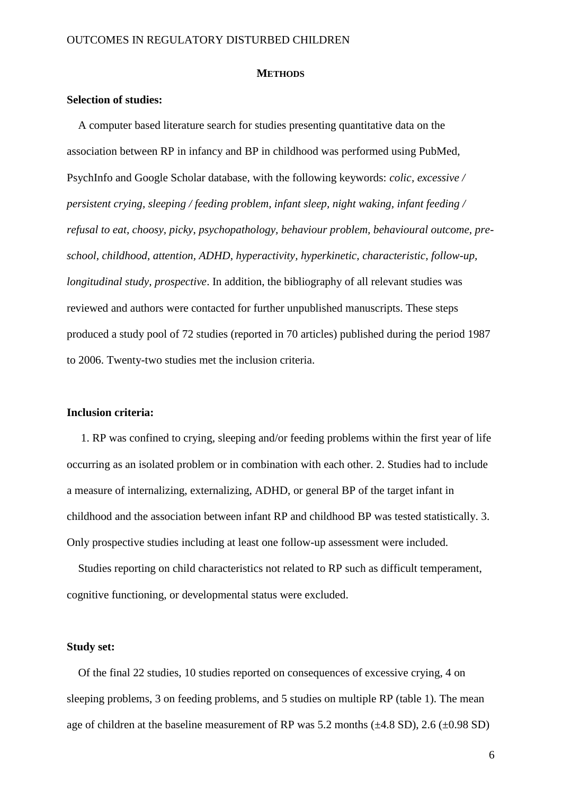#### **METHODS**

## **Selection of studies:**

A computer based literature search for studies presenting quantitative data on the association between RP in infancy and BP in childhood was performed using PubMed, PsychInfo and Google Scholar database, with the following keywords: *colic, excessive / persistent crying, sleeping / feeding problem, infant sleep, night waking, infant feeding / refusal to eat, choosy, picky*, *psychopathology, behaviour problem, behavioural outcome, preschool, childhood, attention, ADHD, hyperactivity, hyperkinetic, characteristic, follow-up, longitudinal study, prospective*. In addition, the bibliography of all relevant studies was reviewed and authors were contacted for further unpublished manuscripts. These steps produced a study pool of 72 studies (reported in 70 articles) published during the period 1987 to 2006. Twenty-two studies met the inclusion criteria.

## **Inclusion criteria:**

1. RP was confined to crying, sleeping and/or feeding problems within the first year of life occurring as an isolated problem or in combination with each other. 2. Studies had to include a measure of internalizing, externalizing, ADHD, or general BP of the target infant in childhood and the association between infant RP and childhood BP was tested statistically. 3. Only prospective studies including at least one follow-up assessment were included.

Studies reporting on child characteristics not related to RP such as difficult temperament, cognitive functioning, or developmental status were excluded.

#### **Study set:**

Of the final 22 studies, 10 studies reported on consequences of excessive crying, 4 on sleeping problems, 3 on feeding problems, and 5 studies on multiple RP (table 1). The mean age of children at the baseline measurement of RP was 5.2 months  $(\pm 4.8 \text{ SD})$ , 2.6  $(\pm 0.98 \text{ SD})$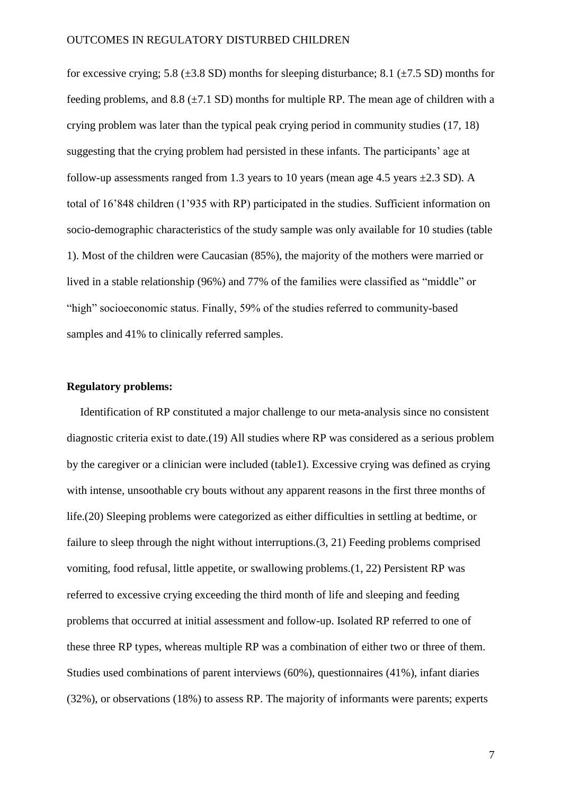for excessive crying; 5.8 ( $\pm$ 3.8 SD) months for sleeping disturbance; 8.1 ( $\pm$ 7.5 SD) months for feeding problems, and  $8.8$  ( $\pm$ 7.1 SD) months for multiple RP. The mean age of children with a crying problem was later than the typical peak crying period in community studies (17, 18) suggesting that the crying problem had persisted in these infants. The participants' age at follow-up assessments ranged from 1.3 years to 10 years (mean age 4.5 years  $\pm 2.3$  SD). A total of 16'848 children (1'935 with RP) participated in the studies. Sufficient information on socio-demographic characteristics of the study sample was only available for 10 studies (table 1). Most of the children were Caucasian (85%), the majority of the mothers were married or lived in a stable relationship (96%) and 77% of the families were classified as "middle" or "high" socioeconomic status. Finally, 59% of the studies referred to community-based samples and 41% to clinically referred samples.

## **Regulatory problems:**

Identification of RP constituted a major challenge to our meta-analysis since no consistent diagnostic criteria exist to date.(19) All studies where RP was considered as a serious problem by the caregiver or a clinician were included (table1). Excessive crying was defined as crying with intense, unsoothable cry bouts without any apparent reasons in the first three months of life.(20) Sleeping problems were categorized as either difficulties in settling at bedtime, or failure to sleep through the night without interruptions.(3, 21) Feeding problems comprised vomiting, food refusal, little appetite, or swallowing problems.(1, 22) Persistent RP was referred to excessive crying exceeding the third month of life and sleeping and feeding problems that occurred at initial assessment and follow-up. Isolated RP referred to one of these three RP types, whereas multiple RP was a combination of either two or three of them. Studies used combinations of parent interviews (60%), questionnaires (41%), infant diaries (32%), or observations (18%) to assess RP. The majority of informants were parents; experts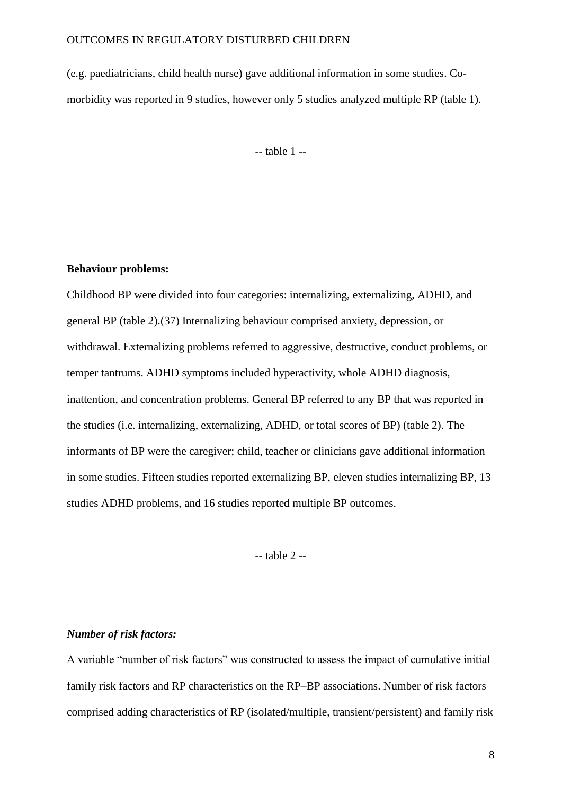(e.g. paediatricians, child health nurse) gave additional information in some studies. Comorbidity was reported in 9 studies, however only 5 studies analyzed multiple RP (table 1).

-- table 1 --

## **Behaviour problems:**

Childhood BP were divided into four categories: internalizing, externalizing, ADHD, and general BP (table 2).(37) Internalizing behaviour comprised anxiety, depression, or withdrawal. Externalizing problems referred to aggressive, destructive, conduct problems, or temper tantrums. ADHD symptoms included hyperactivity, whole ADHD diagnosis, inattention, and concentration problems. General BP referred to any BP that was reported in the studies (i.e. internalizing, externalizing, ADHD, or total scores of BP) (table 2). The informants of BP were the caregiver; child, teacher or clinicians gave additional information in some studies. Fifteen studies reported externalizing BP, eleven studies internalizing BP, 13 studies ADHD problems, and 16 studies reported multiple BP outcomes.

-- table 2 --

## *Number of risk factors:*

A variable "number of risk factors" was constructed to assess the impact of cumulative initial family risk factors and RP characteristics on the RP–BP associations. Number of risk factors comprised adding characteristics of RP (isolated/multiple, transient/persistent) and family risk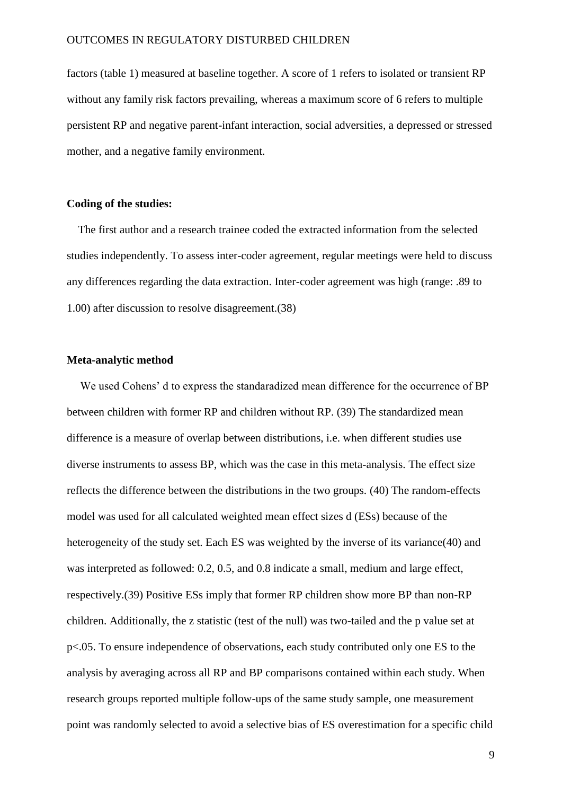factors (table 1) measured at baseline together. A score of 1 refers to isolated or transient RP without any family risk factors prevailing, whereas a maximum score of 6 refers to multiple persistent RP and negative parent-infant interaction, social adversities, a depressed or stressed mother, and a negative family environment.

## **Coding of the studies:**

The first author and a research trainee coded the extracted information from the selected studies independently. To assess inter-coder agreement, regular meetings were held to discuss any differences regarding the data extraction. Inter-coder agreement was high (range: .89 to 1.00) after discussion to resolve disagreement.(38)

### **Meta-analytic method**

We used Cohens' d to express the standaradized mean difference for the occurrence of BP between children with former RP and children without RP. (39) The standardized mean difference is a measure of overlap between distributions, i.e. when different studies use diverse instruments to assess BP, which was the case in this meta-analysis. The effect size reflects the difference between the distributions in the two groups. (40) The random-effects model was used for all calculated weighted mean effect sizes d (ESs) because of the heterogeneity of the study set. Each ES was weighted by the inverse of its variance(40) and was interpreted as followed: 0.2, 0.5, and 0.8 indicate a small, medium and large effect, respectively.(39) Positive ESs imply that former RP children show more BP than non-RP children. Additionally, the z statistic (test of the null) was two-tailed and the p value set at p<.05. To ensure independence of observations, each study contributed only one ES to the analysis by averaging across all RP and BP comparisons contained within each study. When research groups reported multiple follow-ups of the same study sample, one measurement point was randomly selected to avoid a selective bias of ES overestimation for a specific child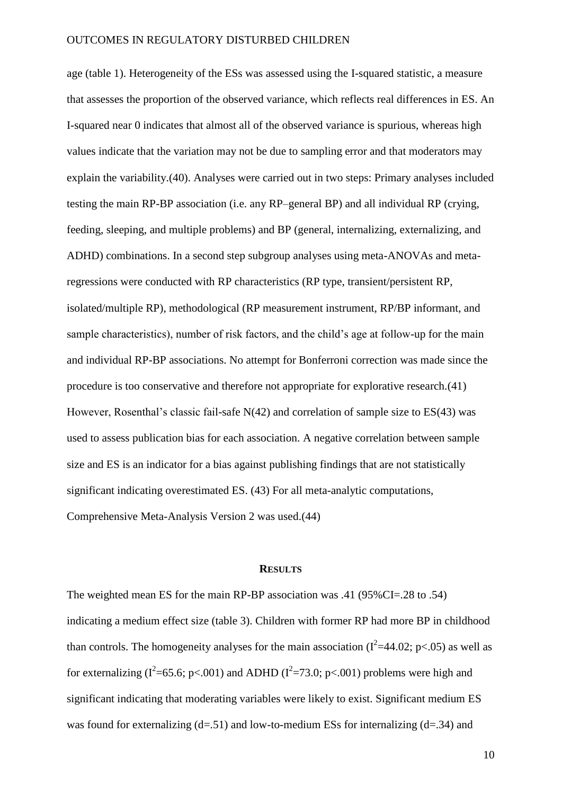age (table 1). Heterogeneity of the ESs was assessed using the I-squared statistic, a measure that assesses the proportion of the observed variance, which reflects real differences in ES. An I-squared near 0 indicates that almost all of the observed variance is spurious, whereas high values indicate that the variation may not be due to sampling error and that moderators may explain the variability.(40). Analyses were carried out in two steps: Primary analyses included testing the main RP-BP association (i.e. any RP–general BP) and all individual RP (crying, feeding, sleeping, and multiple problems) and BP (general, internalizing, externalizing, and ADHD) combinations. In a second step subgroup analyses using meta-ANOVAs and metaregressions were conducted with RP characteristics (RP type, transient/persistent RP, isolated/multiple RP), methodological (RP measurement instrument, RP/BP informant, and sample characteristics), number of risk factors, and the child's age at follow-up for the main and individual RP-BP associations. No attempt for Bonferroni correction was made since the procedure is too conservative and therefore not appropriate for explorative research.(41) However, Rosenthal's classic fail-safe N(42) and correlation of sample size to ES(43) was used to assess publication bias for each association. A negative correlation between sample size and ES is an indicator for a bias against publishing findings that are not statistically significant indicating overestimated ES. (43) For all meta-analytic computations, Comprehensive Meta-Analysis Version 2 was used.(44)

#### **RESULTS**

The weighted mean ES for the main RP-BP association was .41 (95%CI=.28 to .54) indicating a medium effect size (table 3). Children with former RP had more BP in childhood than controls. The homogeneity analyses for the main association ( $I^2$ =44.02; p<.05) as well as for externalizing ( $I^2$ =65.6; p<.001) and ADHD ( $I^2$ =73.0; p<.001) problems were high and significant indicating that moderating variables were likely to exist. Significant medium ES was found for externalizing  $(d=0.51)$  and low-to-medium ESs for internalizing  $(d=0.34)$  and

10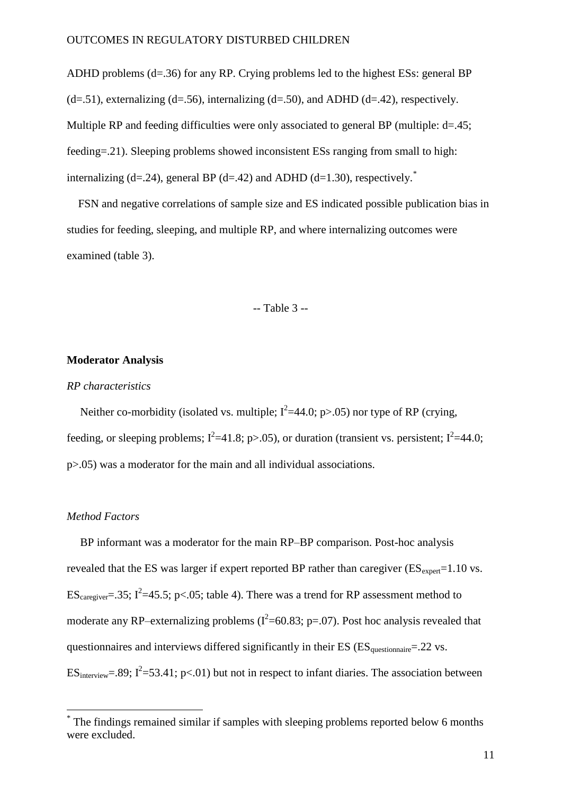ADHD problems (d=.36) for any RP. Crying problems led to the highest ESs: general BP  $(d=0.51)$ , externalizing  $(d=0.56)$ , internalizing  $(d=0.50)$ , and ADHD  $(d=0.42)$ , respectively. Multiple RP and feeding difficulties were only associated to general BP (multiple: d=.45; feeding=.21). Sleeping problems showed inconsistent ESs ranging from small to high: internalizing (d=.24), general BP (d=.42) and ADHD (d=1.30), respectively.<sup>\*</sup>

FSN and negative correlations of sample size and ES indicated possible publication bias in studies for feeding, sleeping, and multiple RP, and where internalizing outcomes were examined (table 3).

## -- Table 3 --

#### **Moderator Analysis**

#### *RP characteristics*

Neither co-morbidity (isolated vs. multiple;  $I^2=44.0$ ; p>.05) nor type of RP (crying, feeding, or sleeping problems;  $I^2$ =41.8; p>.05), or duration (transient vs. persistent;  $I^2$ =44.0; p>.05) was a moderator for the main and all individual associations.

### *Method Factors*

 $\overline{a}$ 

BP informant was a moderator for the main RP–BP comparison. Post-hoc analysis revealed that the ES was larger if expert reported BP rather than caregiver  $(ES_{\text{exper}}=1.10 \text{ vs.})$ ES<sub>caregiver</sub>=.35;  $I^2$ =45.5; p<.05; table 4). There was a trend for RP assessment method to moderate any RP–externalizing problems ( $I^2$ =60.83; p=.07). Post hoc analysis revealed that questionnaires and interviews differed significantly in their ES ( $ES_{\text{onestiomair}} = 22$  vs.  $ES_{interview} = .89$ ;  $I^2 = 53.41$ ; p<.01) but not in respect to infant diaries. The association between

<sup>\*</sup> The findings remained similar if samples with sleeping problems reported below 6 months were excluded.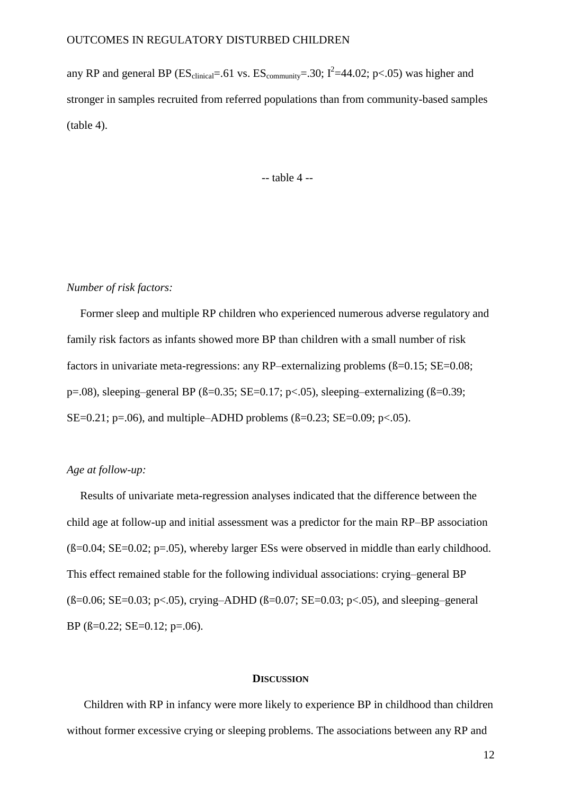any RP and general BP ( $ES_{clinical} = .61$  vs.  $ES_{community} = .30$ ;  $I^2 = 44.02$ ;  $p < .05$ ) was higher and stronger in samples recruited from referred populations than from community-based samples (table 4).

-- table 4 --

#### *Number of risk factors:*

Former sleep and multiple RP children who experienced numerous adverse regulatory and family risk factors as infants showed more BP than children with a small number of risk factors in univariate meta-regressions: any RP–externalizing problems ( $\beta$ =0.15; SE=0.08; p=.08), sleeping–general BP ( $\beta$ =0.35; SE=0.17; p<.05), sleeping–externalizing ( $\beta$ =0.39; SE=0.21; p=.06), and multiple–ADHD problems  $(\beta=0.23; SE=0.09; p<0.05)$ .

# *Age at follow-up:*

Results of univariate meta-regression analyses indicated that the difference between the child age at follow-up and initial assessment was a predictor for the main RP–BP association  $(6=0.04; SE=0.02; p=.05)$ , whereby larger ESs were observed in middle than early childhood. This effect remained stable for the following individual associations: crying–general BP  $(B=0.06; SE=0.03; p<.05)$ , crying–ADHD  $(B=0.07; SE=0.03; p<.05)$ , and sleeping–general BP  $(\beta=0.22; SE=0.12; p=.06)$ .

#### **DISCUSSION**

Children with RP in infancy were more likely to experience BP in childhood than children without former excessive crying or sleeping problems. The associations between any RP and

12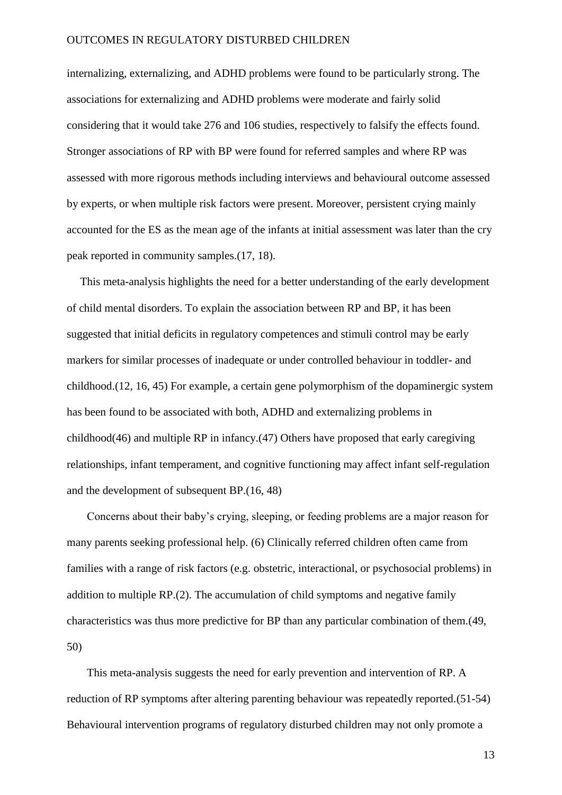internalizing, externalizing, and ADHD problems were found to be particularly strong. The associations for externalizing and ADHD problems were moderate and fairly solid considering that it would take 276 and 106 studies, respectively to falsify the effects found. Stronger associations of RP with BP were found for referred samples and where RP was assessed with more rigorous methods including interviews and behavioural outcome assessed by experts, or when multiple risk factors were present. Moreover, persistent crying mainly accounted for the ES as the mean age of the infants at initial assessment was later than the cry peak reported in community samples.(17, 18).

This meta-analysis highlights the need for a better understanding of the early development of child mental disorders. To explain the association between RP and BP, it has been suggested that initial deficits in regulatory competences and stimuli control may be early markers for similar processes of inadequate or under controlled behaviour in toddler- and childhood.(12, 16, 45) For example, a certain gene polymorphism of the dopaminergic system has been found to be associated with both, ADHD and externalizing problems in childhood(46) and multiple RP in infancy.(47) Others have proposed that early caregiving relationships, infant temperament, and cognitive functioning may affect infant self-regulation and the development of subsequent BP.(16, 48)

Concerns about their baby's crying, sleeping, or feeding problems are a major reason for many parents seeking professional help. (6) Clinically referred children often came from families with a range of risk factors (e.g. obstetric, interactional, or psychosocial problems) in addition to multiple RP.(2). The accumulation of child symptoms and negative family characteristics was thus more predictive for BP than any particular combination of them.(49, 50)

This meta-analysis suggests the need for early prevention and intervention of RP. A reduction of RP symptoms after altering parenting behaviour was repeatedly reported.(51-54) Behavioural intervention programs of regulatory disturbed children may not only promote a

13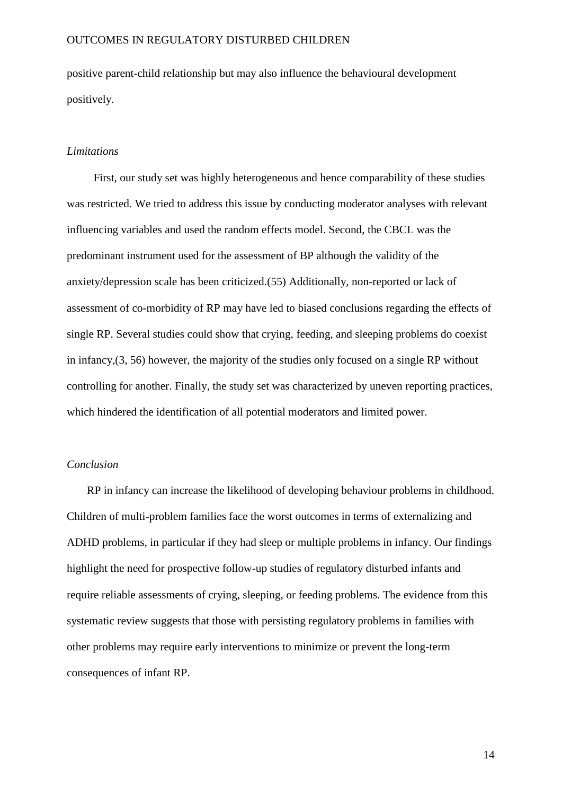positive parent-child relationship but may also influence the behavioural development positively.

## *Limitations*

First, our study set was highly heterogeneous and hence comparability of these studies was restricted. We tried to address this issue by conducting moderator analyses with relevant influencing variables and used the random effects model. Second, the CBCL was the predominant instrument used for the assessment of BP although the validity of the anxiety/depression scale has been criticized.(55) Additionally, non-reported or lack of assessment of co-morbidity of RP may have led to biased conclusions regarding the effects of single RP. Several studies could show that crying, feeding, and sleeping problems do coexist in infancy,(3, 56) however, the majority of the studies only focused on a single RP without controlling for another. Finally, the study set was characterized by uneven reporting practices, which hindered the identification of all potential moderators and limited power.

### *Conclusion*

RP in infancy can increase the likelihood of developing behaviour problems in childhood. Children of multi-problem families face the worst outcomes in terms of externalizing and ADHD problems, in particular if they had sleep or multiple problems in infancy. Our findings highlight the need for prospective follow-up studies of regulatory disturbed infants and require reliable assessments of crying, sleeping, or feeding problems. The evidence from this systematic review suggests that those with persisting regulatory problems in families with other problems may require early interventions to minimize or prevent the long-term consequences of infant RP.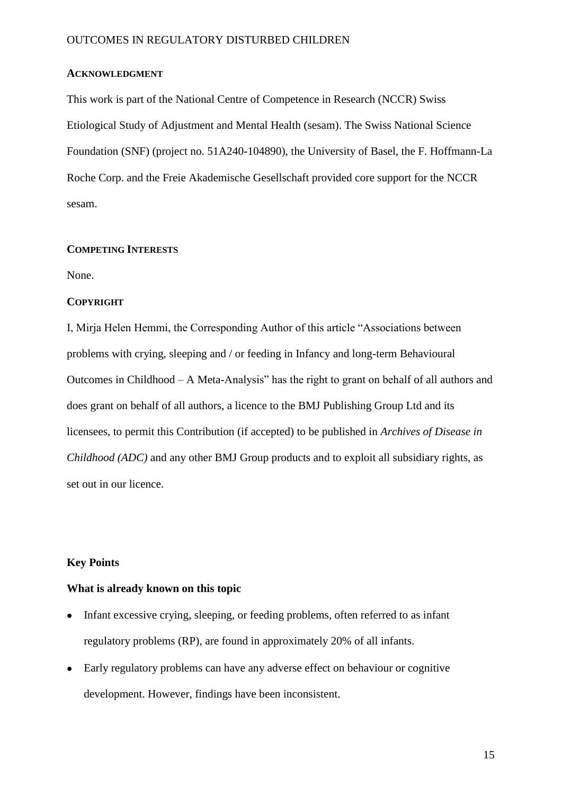# **ACKNOWLEDGMENT**

This work is part of the National Centre of Competence in Research (NCCR) Swiss Etiological Study of Adjustment and Mental Health (sesam). The Swiss National Science Foundation (SNF) (project no. 51A240-104890), the University of Basel, the F. Hoffmann-La Roche Corp. and the Freie Akademische Gesellschaft provided core support for the NCCR sesam.

## **COMPETING INTERESTS**

None.

## **COPYRIGHT**

I, Mirja Helen Hemmi, the Corresponding Author of this article "Associations between problems with crying, sleeping and / or feeding in Infancy and long-term Behavioural Outcomes in Childhood – A Meta-Analysis" has the right to grant on behalf of all authors and does grant on behalf of all authors, a licence to the BMJ Publishing Group Ltd and its licensees, to permit this Contribution (if accepted) to be published in *Archives of Disease in Childhood (ADC)* and any other BMJ Group products and to exploit all subsidiary rights, as set out in our licence.

## **Key Points**

### **What is already known on this topic**

- Infant excessive crying, sleeping, or feeding problems, often referred to as infant  $\bullet$ regulatory problems (RP), are found in approximately 20% of all infants.
- Early regulatory problems can have any adverse effect on behaviour or cognitive development. However, findings have been inconsistent.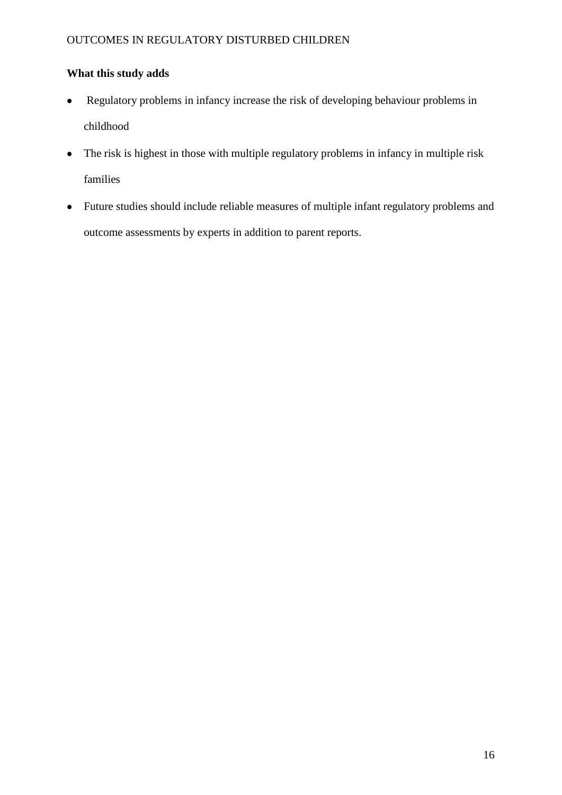# **What this study adds**

- Regulatory problems in infancy increase the risk of developing behaviour problems in  $\bullet$ childhood
- The risk is highest in those with multiple regulatory problems in infancy in multiple risk  $\bullet$ families
- Future studies should include reliable measures of multiple infant regulatory problems and outcome assessments by experts in addition to parent reports.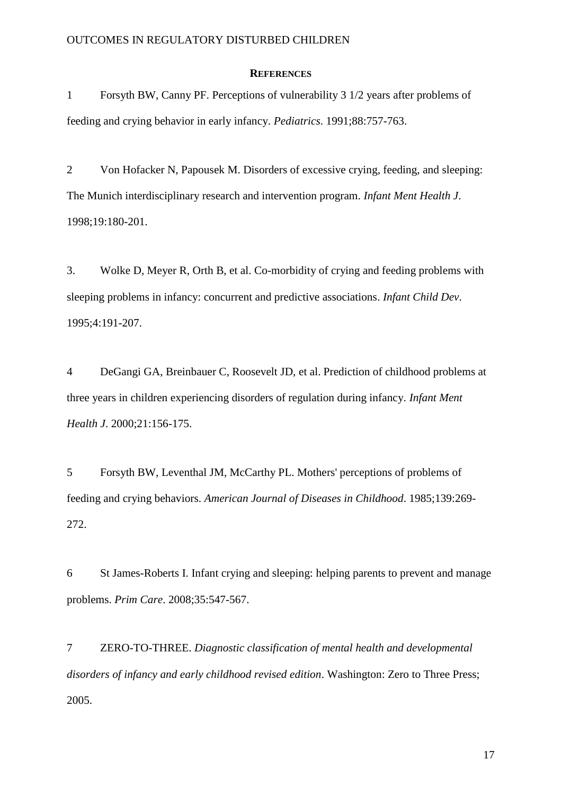## **REFERENCES**

1 Forsyth BW, Canny PF. Perceptions of vulnerability 3 1/2 years after problems of feeding and crying behavior in early infancy. *Pediatrics*. 1991;88:757-763.

2 Von Hofacker N, Papousek M. Disorders of excessive crying, feeding, and sleeping: The Munich interdisciplinary research and intervention program. *Infant Ment Health J*. 1998;19:180-201.

3. Wolke D, Meyer R, Orth B, et al. Co-morbidity of crying and feeding problems with sleeping problems in infancy: concurrent and predictive associations. *Infant Child Dev*. 1995;4:191-207.

4 DeGangi GA, Breinbauer C, Roosevelt JD, et al. Prediction of childhood problems at three years in children experiencing disorders of regulation during infancy. *Infant Ment Health J*. 2000;21:156-175.

5 Forsyth BW, Leventhal JM, McCarthy PL. Mothers' perceptions of problems of feeding and crying behaviors. *American Journal of Diseases in Childhood*. 1985;139:269- 272.

6 St James-Roberts I. Infant crying and sleeping: helping parents to prevent and manage problems. *Prim Care*. 2008;35:547-567.

7 ZERO-TO-THREE. *Diagnostic classification of mental health and developmental disorders of infancy and early childhood revised edition*. Washington: Zero to Three Press; 2005.

17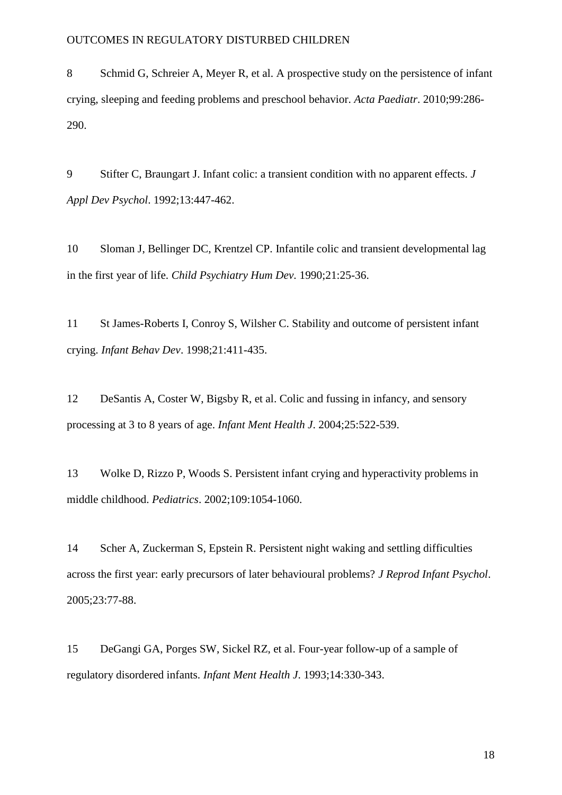8 Schmid G, Schreier A, Meyer R, et al. A prospective study on the persistence of infant crying, sleeping and feeding problems and preschool behavior. *Acta Paediatr*. 2010;99:286- 290.

9 Stifter C, Braungart J. Infant colic: a transient condition with no apparent effects. *J Appl Dev Psychol*. 1992;13:447-462.

10 Sloman J, Bellinger DC, Krentzel CP. Infantile colic and transient developmental lag in the first year of life. *Child Psychiatry Hum Dev.* 1990;21:25-36.

11 St James-Roberts I, Conroy S, Wilsher C. Stability and outcome of persistent infant crying. *Infant Behav Dev*. 1998;21:411-435.

12 DeSantis A, Coster W, Bigsby R, et al. Colic and fussing in infancy, and sensory processing at 3 to 8 years of age. *Infant Ment Health J*. 2004;25:522-539.

13 Wolke D, Rizzo P, Woods S. Persistent infant crying and hyperactivity problems in middle childhood. *Pediatrics*. 2002;109:1054-1060.

14 Scher A, Zuckerman S, Epstein R. Persistent night waking and settling difficulties across the first year: early precursors of later behavioural problems? *J Reprod Infant Psychol*. 2005;23:77-88.

15 DeGangi GA, Porges SW, Sickel RZ, et al. Four-year follow-up of a sample of regulatory disordered infants. *Infant Ment Health J*. 1993;14:330-343.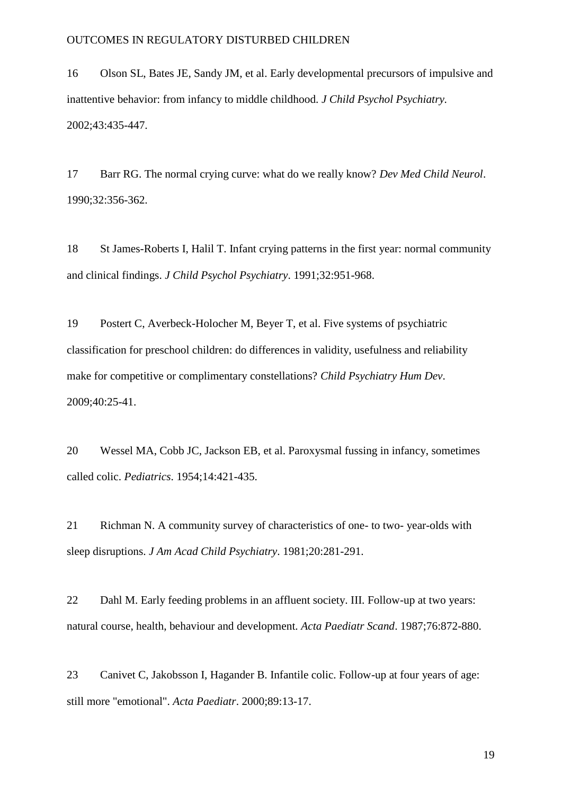16 Olson SL, Bates JE, Sandy JM, et al. Early developmental precursors of impulsive and inattentive behavior: from infancy to middle childhood. *J Child Psychol Psychiatry.* 2002;43:435-447.

17 Barr RG. The normal crying curve: what do we really know? *Dev Med Child Neurol*. 1990;32:356-362.

18 St James-Roberts I, Halil T. Infant crying patterns in the first year: normal community and clinical findings. *J Child Psychol Psychiatry*. 1991;32:951-968.

19 Postert C, Averbeck-Holocher M, Beyer T, et al. Five systems of psychiatric classification for preschool children: do differences in validity, usefulness and reliability make for competitive or complimentary constellations? *Child Psychiatry Hum Dev*. 2009;40:25-41.

20 Wessel MA, Cobb JC, Jackson EB, et al. Paroxysmal fussing in infancy, sometimes called colic. *Pediatrics*. 1954;14:421-435.

21 Richman N. A community survey of characteristics of one- to two- year-olds with sleep disruptions. *J Am Acad Child Psychiatry*. 1981;20:281-291.

22 Dahl M. Early feeding problems in an affluent society. III. Follow-up at two years: natural course, health, behaviour and development. *Acta Paediatr Scand*. 1987;76:872-880.

23 Canivet C, Jakobsson I, Hagander B. Infantile colic. Follow-up at four years of age: still more "emotional". *Acta Paediatr*. 2000;89:13-17.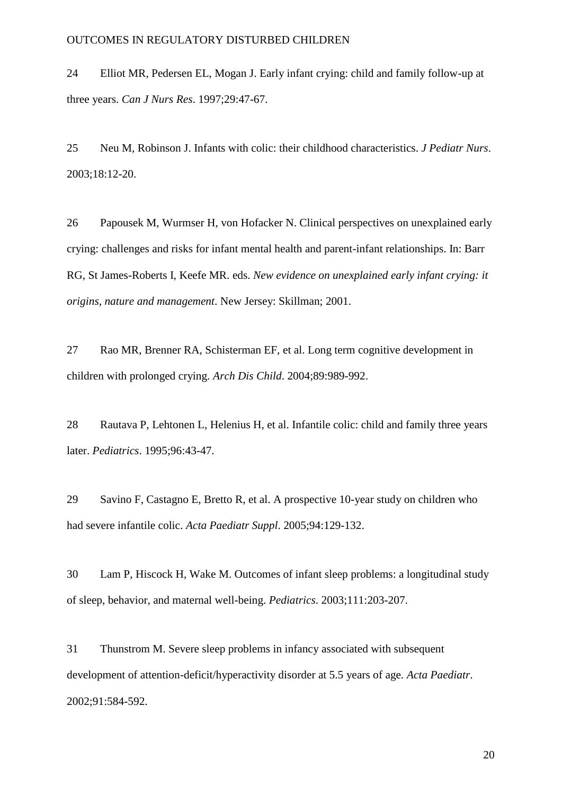24 Elliot MR, Pedersen EL, Mogan J. Early infant crying: child and family follow-up at three years. *Can J Nurs Res*. 1997;29:47-67.

25 Neu M, Robinson J. Infants with colic: their childhood characteristics. *J Pediatr Nurs*. 2003;18:12-20.

26 Papousek M, Wurmser H, von Hofacker N. Clinical perspectives on unexplained early crying: challenges and risks for infant mental health and parent-infant relationships. In: Barr RG, St James-Roberts I, Keefe MR. eds. *New evidence on unexplained early infant crying: it origins, nature and management*. New Jersey: Skillman; 2001.

27 Rao MR, Brenner RA, Schisterman EF, et al. Long term cognitive development in children with prolonged crying. *Arch Dis Child*. 2004;89:989-992.

28 Rautava P, Lehtonen L, Helenius H, et al. Infantile colic: child and family three years later. *Pediatrics*. 1995;96:43-47.

29 Savino F, Castagno E, Bretto R, et al. A prospective 10-year study on children who had severe infantile colic. *Acta Paediatr Suppl*. 2005;94:129-132.

30 Lam P, Hiscock H, Wake M. Outcomes of infant sleep problems: a longitudinal study of sleep, behavior, and maternal well-being. *Pediatrics*. 2003;111:203-207.

31 Thunstrom M. Severe sleep problems in infancy associated with subsequent development of attention-deficit/hyperactivity disorder at 5.5 years of age. *Acta Paediatr*. 2002;91:584-592.

20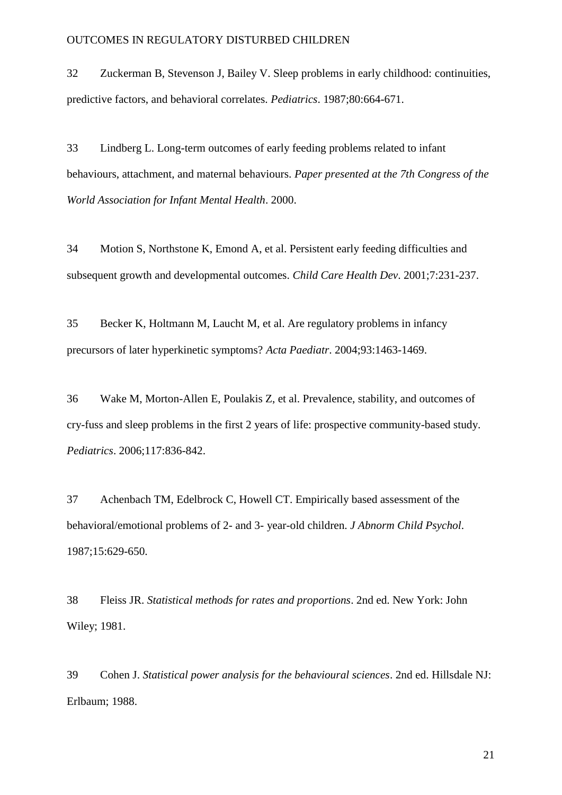32 Zuckerman B, Stevenson J, Bailey V. Sleep problems in early childhood: continuities, predictive factors, and behavioral correlates. *Pediatrics*. 1987;80:664-671.

33 Lindberg L. Long-term outcomes of early feeding problems related to infant behaviours, attachment, and maternal behaviours. *Paper presented at the 7th Congress of the World Association for Infant Mental Health*. 2000.

34 Motion S, Northstone K, Emond A, et al. Persistent early feeding difficulties and subsequent growth and developmental outcomes. *Child Care Health Dev*. 2001;7:231-237.

35 Becker K, Holtmann M, Laucht M, et al. Are regulatory problems in infancy precursors of later hyperkinetic symptoms? *Acta Paediatr*. 2004;93:1463-1469.

36 Wake M, Morton-Allen E, Poulakis Z, et al. Prevalence, stability, and outcomes of cry-fuss and sleep problems in the first 2 years of life: prospective community-based study. *Pediatrics*. 2006;117:836-842.

37 Achenbach TM, Edelbrock C, Howell CT. Empirically based assessment of the behavioral/emotional problems of 2- and 3- year-old children. *J Abnorm Child Psychol*. 1987;15:629-650.

38 Fleiss JR. *Statistical methods for rates and proportions*. 2nd ed. New York: John Wiley; 1981.

39 Cohen J. *Statistical power analysis for the behavioural sciences*. 2nd ed. Hillsdale NJ: Erlbaum; 1988.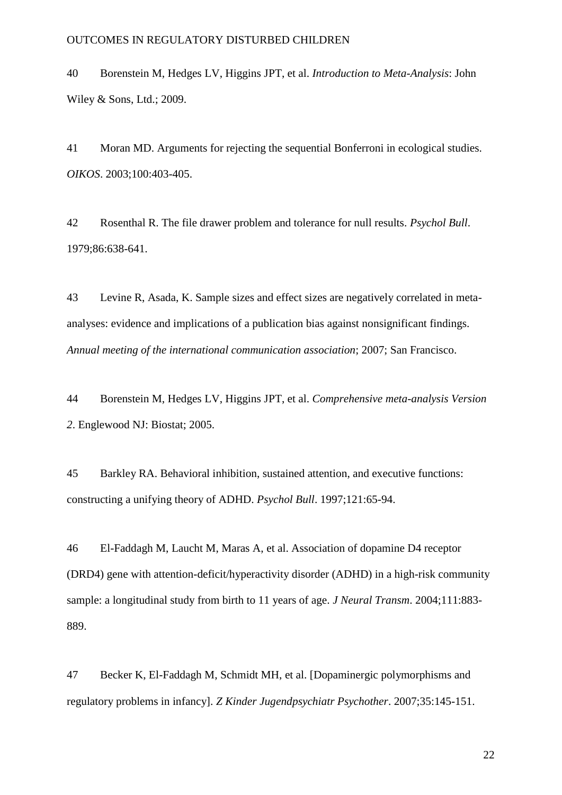40 Borenstein M, Hedges LV, Higgins JPT, et al. *Introduction to Meta-Analysis*: John Wiley & Sons, Ltd.; 2009.

41 Moran MD. Arguments for rejecting the sequential Bonferroni in ecological studies. *OIKOS*. 2003;100:403-405.

42 Rosenthal R. The file drawer problem and tolerance for null results. *Psychol Bull*. 1979;86:638-641.

43 Levine R, Asada, K. Sample sizes and effect sizes are negatively correlated in metaanalyses: evidence and implications of a publication bias against nonsignificant findings. *Annual meeting of the international communication association*; 2007; San Francisco.

44 Borenstein M, Hedges LV, Higgins JPT, et al. *Comprehensive meta-analysis Version 2*. Englewood NJ: Biostat; 2005.

45 Barkley RA. Behavioral inhibition, sustained attention, and executive functions: constructing a unifying theory of ADHD. *Psychol Bull*. 1997;121:65-94.

46 El-Faddagh M, Laucht M, Maras A, et al. Association of dopamine D4 receptor (DRD4) gene with attention-deficit/hyperactivity disorder (ADHD) in a high-risk community sample: a longitudinal study from birth to 11 years of age. *J Neural Transm*. 2004;111:883- 889.

47 Becker K, El-Faddagh M, Schmidt MH, et al. [Dopaminergic polymorphisms and regulatory problems in infancy]. *Z Kinder Jugendpsychiatr Psychother*. 2007;35:145-151.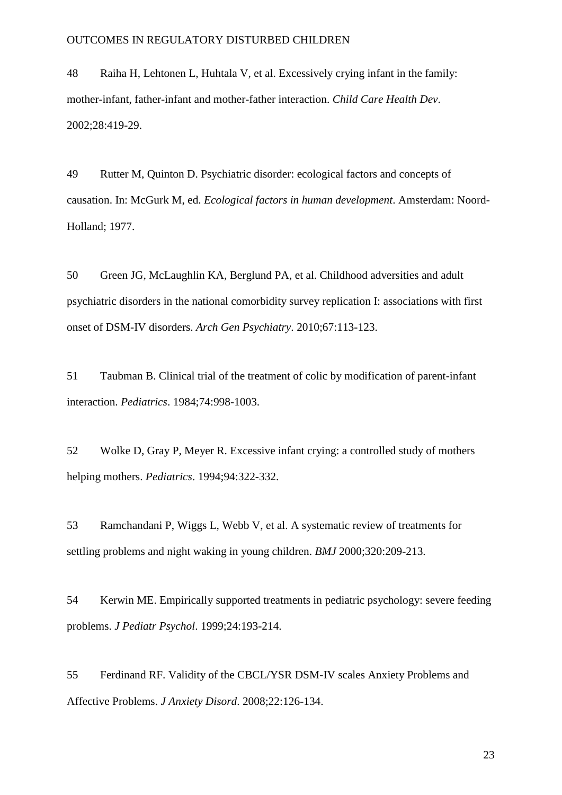48 Raiha H, Lehtonen L, Huhtala V, et al. Excessively crying infant in the family: mother-infant, father-infant and mother-father interaction. *Child Care Health Dev*. 2002;28:419-29.

49 Rutter M, Quinton D. Psychiatric disorder: ecological factors and concepts of causation. In: McGurk M, ed. *Ecological factors in human development*. Amsterdam: Noord-Holland; 1977.

50 Green JG, McLaughlin KA, Berglund PA, et al. Childhood adversities and adult psychiatric disorders in the national comorbidity survey replication I: associations with first onset of DSM-IV disorders. *Arch Gen Psychiatry*. 2010;67:113-123.

51 Taubman B. Clinical trial of the treatment of colic by modification of parent-infant interaction. *Pediatrics*. 1984;74:998-1003.

52 Wolke D, Gray P, Meyer R. Excessive infant crying: a controlled study of mothers helping mothers. *Pediatrics*. 1994;94:322-332.

53 Ramchandani P, Wiggs L, Webb V, et al. A systematic review of treatments for settling problems and night waking in young children. *BMJ* 2000;320:209-213.

54 Kerwin ME. Empirically supported treatments in pediatric psychology: severe feeding problems. *J Pediatr Psychol*. 1999;24:193-214.

55 Ferdinand RF. Validity of the CBCL/YSR DSM-IV scales Anxiety Problems and Affective Problems. *J Anxiety Disord*. 2008;22:126-134.

23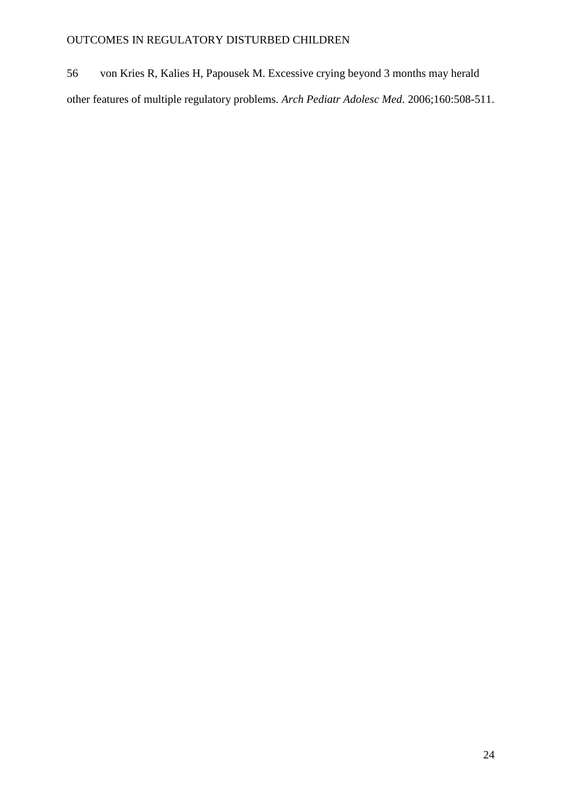56 von Kries R, Kalies H, Papousek M. Excessive crying beyond 3 months may herald other features of multiple regulatory problems. *Arch Pediatr Adolesc Med*. 2006;160:508-511.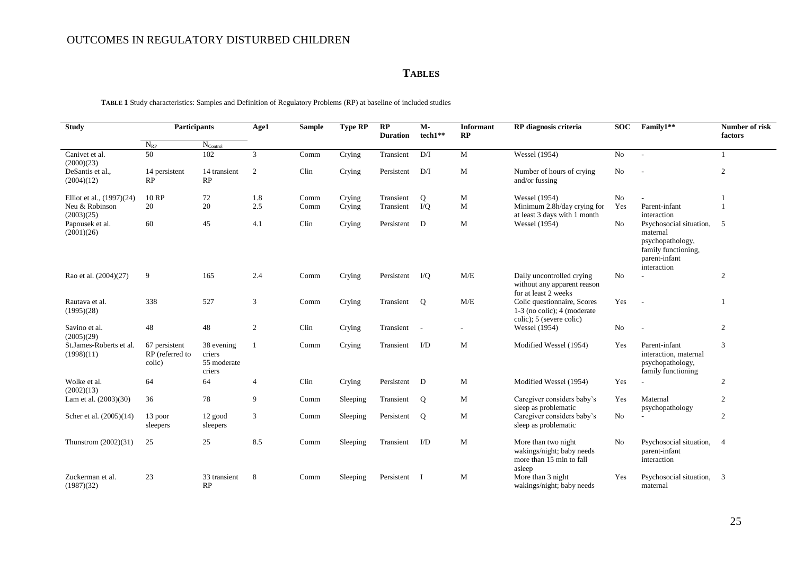## **TABLES**

**TABLE 1** Study characteristics: Samples and Definition of Regulatory Problems (RP) at baseline of included studies

| <b>Study</b>                          | Participants<br>$N_{RP}$<br>$N_{\rm Control}$ |                                               | Age1           | <b>Sample</b> | Type RP  | RP<br><b>Duration</b> | $M -$<br>tech1**                | <b>Informant</b><br>RP | RP diagnosis criteria                                                                    | <b>SOC</b> | Family1**                                                                                                      | Number of risk<br>factors |
|---------------------------------------|-----------------------------------------------|-----------------------------------------------|----------------|---------------|----------|-----------------------|---------------------------------|------------------------|------------------------------------------------------------------------------------------|------------|----------------------------------------------------------------------------------------------------------------|---------------------------|
|                                       |                                               |                                               |                |               |          |                       |                                 |                        |                                                                                          |            |                                                                                                                |                           |
| Canivet et al.<br>(2000)(23)          | 50                                            | 102                                           | 3              | Comm          | Crying   | Transient             | D/I                             | $\mathbf{M}$           | <b>Wessel</b> (1954)                                                                     | No         | $\sim$                                                                                                         | $\mathbf{1}$              |
| DeSantis et al.,<br>(2004)(12)        | 14 persistent<br>RP                           | 14 transient<br>RP                            | 2              | Clin          | Crying   | Persistent            | D/I                             | $\mathbf M$            | Number of hours of crying<br>and/or fussing                                              | No         |                                                                                                                | $\overline{2}$            |
| Elliot et al., (1997)(24)             | 10 RP                                         | 72                                            | 1.8            | Comm          | Crying   | Transient             | $\mathbf Q$                     | M                      | <b>Wessel</b> (1954)                                                                     | No         |                                                                                                                |                           |
| Neu & Robinson<br>(2003)(25)          | 20                                            | 20                                            | 2.5            | Comm          | Crying   | Transient             | I/Q                             | M                      | Minimum 2.8h/day crying for<br>at least 3 days with 1 month                              | Yes        | Parent-infant<br>interaction                                                                                   |                           |
| Papousek et al.<br>(2001)(26)         | 60                                            | 45                                            | 4.1            | Clin          | Crying   | Persistent D          |                                 | M                      | <b>Wessel</b> (1954)                                                                     | No         | Psychosocial situation,<br>maternal<br>psychopathology,<br>family functioning,<br>parent-infant<br>interaction | 5                         |
| Rao et al. (2004)(27)                 | 9                                             | 165                                           | 2.4            | Comm          | Crying   | Persistent I/Q        |                                 | M/E                    | Daily uncontrolled crying<br>without any apparent reason<br>for at least 2 weeks         | No         |                                                                                                                | 2                         |
| Rautava et al.<br>(1995)(28)          | 338                                           | 527                                           | 3              | Comm          | Crying   | Transient             | Q                               | M/E                    | Colic questionnaire, Scores<br>$1-3$ (no colic); 4 (moderate<br>colic); 5 (severe colic) | Yes        | $\overline{\phantom{a}}$                                                                                       |                           |
| Savino et al.<br>(2005)(29)           | 48                                            | 48                                            | 2              | Clin          | Crying   | Transient             | $\sim$                          |                        | Wessel (1954)                                                                            | No         |                                                                                                                | 2                         |
| St.James-Roberts et al.<br>(1998)(11) | 67 persistent<br>RP (referred to<br>colic)    | 38 evening<br>criers<br>55 moderate<br>criers |                | Comm          | Crying   | Transient             | I/D                             | M                      | Modified Wessel (1954)                                                                   | Yes        | Parent-infant<br>interaction, maternal<br>psychopathology,<br>family functioning                               | 3                         |
| Wolke et al.<br>(2002)(13)            | 64                                            | 64                                            | $\overline{4}$ | Clin          | Crying   | Persistent            | $\mathbb{D}$                    | M                      | Modified Wessel (1954)                                                                   | Yes        |                                                                                                                | 2                         |
| Lam et al. (2003)(30)                 | 36                                            | 78                                            | 9              | Comm          | Sleeping | Transient             | Q                               | M                      | Caregiver considers baby's<br>sleep as problematic                                       | Yes        | Maternal<br>psychopathology                                                                                    | $\overline{2}$            |
| Scher et al. (2005)(14)               | 13 poor<br>sleepers                           | 12 good<br>sleepers                           | 3              | Comm          | Sleeping | Persistent            | Q                               | M                      | Caregiver considers baby's<br>sleep as problematic                                       | No         |                                                                                                                | 2                         |
| Thunstrom $(2002)(31)$                | 25                                            | 25                                            | 8.5            | Comm          | Sleeping | Transient             | $\mathbf{L}^{\prime}\mathbf{D}$ | $\mathbf{M}$           | More than two night<br>wakings/night; baby needs<br>more than 15 min to fall<br>asleep   | No         | Psychosocial situation,<br>parent-infant<br>interaction                                                        | $\overline{4}$            |
| Zuckerman et al.<br>(1987)(32)        | 23                                            | 33 transient<br>RP                            | 8              | Comm          | Sleeping | Persistent            | $\blacksquare$                  | M                      | More than 3 night<br>wakings/night; baby needs                                           | Yes        | Psychosocial situation,<br>maternal                                                                            | 3                         |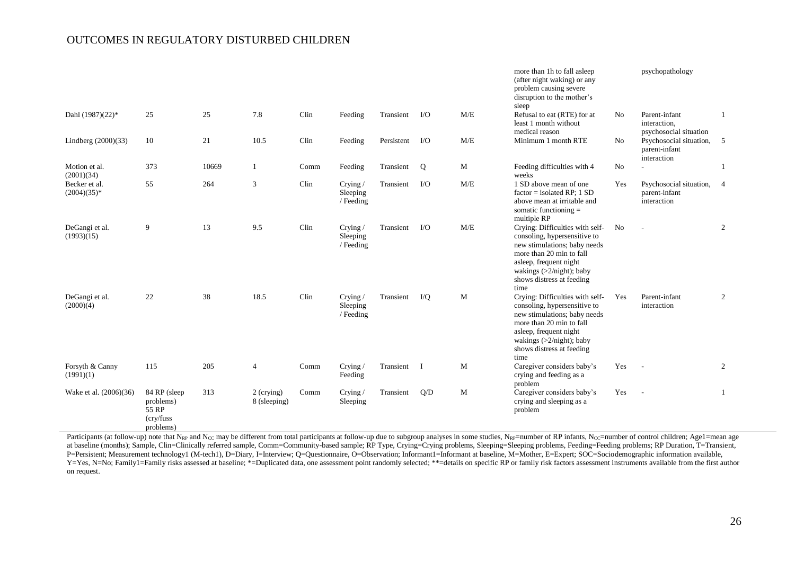|                                |                                                              |       |                            |      |                                     |            |           |           | more than 1h to fall asleep<br>(after night waking) or any<br>problem causing severe<br>disruption to the mother's<br>sleep                                                                                               |                | psychopathology                                         |                |
|--------------------------------|--------------------------------------------------------------|-------|----------------------------|------|-------------------------------------|------------|-----------|-----------|---------------------------------------------------------------------------------------------------------------------------------------------------------------------------------------------------------------------------|----------------|---------------------------------------------------------|----------------|
| Dahl (1987)(22)*               | 25                                                           | 25    | 7.8                        | Clin | Feeding                             | Transient  | $\rm LO$  | M/E       | Refusal to eat (RTE) for at<br>least 1 month without<br>medical reason                                                                                                                                                    | No             | Parent-infant<br>interaction,<br>psychosocial situation | 1              |
| Lindberg (2000)(33)            | 10                                                           | 21    | 10.5                       | Clin | Feeding                             | Persistent | $\rm LO$  | M/E       | Minimum 1 month RTE                                                                                                                                                                                                       | N <sub>o</sub> | Psychosocial situation,<br>parent-infant<br>interaction | 5              |
| Motion et al.<br>(2001)(34)    | 373                                                          | 10669 | 1                          | Comm | Feeding                             | Transient  | Q         | M         | Feeding difficulties with 4<br>weeks                                                                                                                                                                                      | No             |                                                         | 1              |
| Becker et al.<br>$(2004)(35)*$ | 55                                                           | 264   | 3                          | Clin | Crying/<br>Sleeping<br>/ Feeding    | Transient  | $\rm LO$  | $\rm M/E$ | 1 SD above mean of one<br>$factor = isolated RP$ ; 1 SD<br>above mean at irritable and<br>somatic functioning $=$<br>multiple RP                                                                                          | Yes            | Psychosocial situation,<br>parent-infant<br>interaction | $\overline{4}$ |
| DeGangi et al.<br>(1993)(15)   | 9                                                            | 13    | 9.5                        | Clin | Crying/<br>Sleeping<br>/ Feeding    | Transient  | $\rm LO$  | M/E       | Crying: Difficulties with self-<br>consoling, hypersensitive to<br>new stimulations; baby needs<br>more than 20 min to fall<br>asleep, frequent night<br>wakings $(>2/night)$ ; baby<br>shows distress at feeding<br>time | N <sub>0</sub> |                                                         | $\overline{2}$ |
| DeGangi et al.<br>(2000)(4)    | 22                                                           | 38    | 18.5                       | Clin | Crying $/$<br>Sleeping<br>/ Feeding | Transient  | $\rm I/Q$ | M         | Crying: Difficulties with self-<br>consoling, hypersensitive to<br>new stimulations; baby needs<br>more than 20 min to fall<br>asleep, frequent night<br>wakings $(>2/night)$ ; baby<br>shows distress at feeding<br>time | Yes            | Parent-infant<br>interaction                            | 2              |
| Forsyth & Canny<br>(1991)(1)   | 115                                                          | 205   | $\overline{4}$             | Comm | Crying/<br>Feeding                  | Transient  | <b>I</b>  | M         | Caregiver considers baby's<br>crying and feeding as a<br>problem                                                                                                                                                          | Yes            | $\sim$                                                  | 2              |
| Wake et al. (2006)(36)         | 84 RP (sleep<br>problems)<br>55 RP<br>(cry/fuss<br>problems) | 313   | 2 (crying)<br>8 (sleeping) | Comm | Crying $/$<br>Sleeping              | Transient  | Q/D       | M         | Caregiver considers baby's<br>crying and sleeping as a<br>problem                                                                                                                                                         | Yes            |                                                         | $\mathbf{1}$   |

Participants (at follow-up) note that N<sub>RP</sub> and N<sub>CC</sub> may be different from total participants at follow-up due to subgroup analyses in some studies, N<sub>RP</sub>=number of RP infants, N<sub>CC</sub>=number of control children; Age1=mean at baseline (months); Sample, Clin=Clinically referred sample, Comm=Community-based sample; RP Type, Crying=Crying problems, Sleeping=Sleeping problems, Feeding=Feeding problems; RP Duration, T=Transient, P=Persistent; Measurement technology1 (M-tech1), D=Diary, I=Interview; Q=Questionnaire, O=Observation; Informant1=Informant at baseline, M=Mother, E=Expert; SOC=Sociodemographic information available, Y=Yes, N=No; Family1=Family risks assessed at baseline; \*=Duplicated data, one assessment point randomly selected; \*\*=details on specific RP or family risk factors assessment instruments available from the first author on request.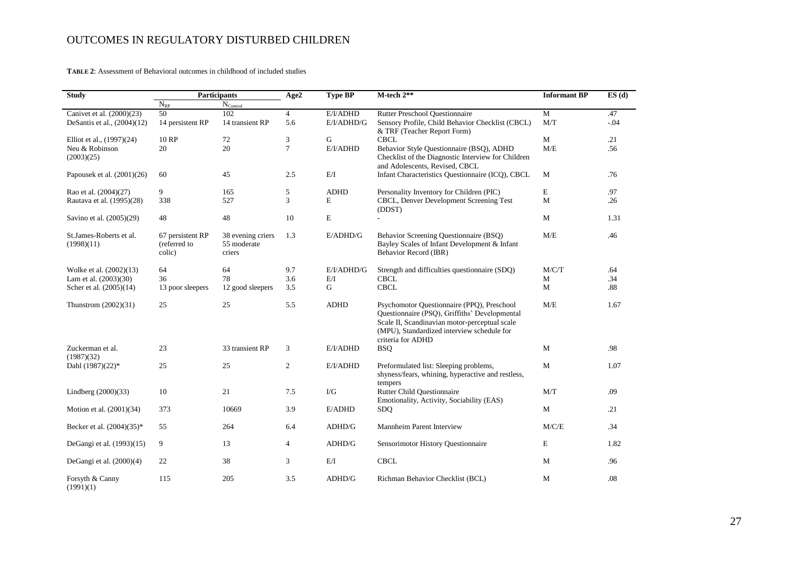**TABLE 2**: Assessment of Behavioral outcomes in childhood of included studies

| <b>Study</b>                          |                                            | <b>Participants</b>                        | Age2           | <b>Type BP</b>    | M-tech 2**                                                                                                                                                                                                      | <b>Informant BP</b> | ES(d)  |
|---------------------------------------|--------------------------------------------|--------------------------------------------|----------------|-------------------|-----------------------------------------------------------------------------------------------------------------------------------------------------------------------------------------------------------------|---------------------|--------|
|                                       | $N_{RP}$                                   | $N_{\rm Control}$                          |                |                   |                                                                                                                                                                                                                 |                     |        |
| Canivet et al. (2000)(23)             | 50                                         | 102                                        | $\overline{4}$ | E/I/ADHD          | Rutter Preschool Questionnaire                                                                                                                                                                                  | $\mathbf{M}$        | .47    |
| DeSantis et al., (2004)(12)           | 14 persistent RP                           | 14 transient RP                            | 5.6            | E/I/ADHD/G        | Sensory Profile, Child Behavior Checklist (CBCL)<br>& TRF (Teacher Report Form)                                                                                                                                 | M/T                 | $-.04$ |
| Elliot et al., (1997)(24)             | 10 RP                                      | 72                                         | 3              | G                 | <b>CBCL</b>                                                                                                                                                                                                     | M                   | .21    |
| Neu & Robinson<br>(2003)(25)          | 20                                         | 20                                         | $\tau$         | E/I/ADHD          | Behavior Style Questionnaire (BSQ), ADHD<br>Checklist of the Diagnostic Interview for Children<br>and Adolescents, Revised, CBCL                                                                                | M/E                 | .56    |
| Papousek et al. $(2001)(26)$          | 60                                         | 45                                         | 2.5            | E/I               | Infant Characteristics Questionnaire (ICQ), CBCL                                                                                                                                                                | M                   | .76    |
| Rao et al. (2004)(27)                 | 9                                          | 165                                        | 5              | <b>ADHD</b>       | Personality Inventory for Children (PIC)                                                                                                                                                                        | E                   | .97    |
| Rautava et al. (1995)(28)             | 338                                        | 527                                        | 3              | E                 | CBCL, Denver Development Screening Test<br>(DDST)                                                                                                                                                               | M                   | .26    |
| Savino et al. (2005)(29)              | 48                                         | 48                                         | 10             | $\bf E$           |                                                                                                                                                                                                                 | M                   | 1.31   |
| St.James-Roberts et al.<br>(1998)(11) | 67 persistent RP<br>(referred to<br>colic) | 38 evening criers<br>55 moderate<br>criers | 1.3            | $E$ <i>ADHD/G</i> | Behavior Screening Questionnaire (BSQ)<br>Bayley Scales of Infant Development & Infant<br>Behavior Record (IBR)                                                                                                 | M/E                 | .46    |
| Wolke et al. (2002)(13)               | 64                                         | 64                                         | 9.7            | E/I/ADHD/G        | Strength and difficulties questionnaire (SDQ)                                                                                                                                                                   | M/C/T               | .64    |
| Lam et al. $(2003)(30)$               | 36                                         | 78                                         | 3.6            | E/I               | <b>CBCL</b>                                                                                                                                                                                                     | М                   | .34    |
| Scher et al. (2005)(14)               | 13 poor sleepers                           | 12 good sleepers                           | 3.5            | G                 | <b>CBCL</b>                                                                                                                                                                                                     | M                   | .88    |
| Thunstrom $(2002)(31)$                | 25                                         | 25                                         | 5.5            | <b>ADHD</b>       | Psychomotor Questionnaire (PPQ), Preschool<br>Questionnaire (PSQ), Griffiths' Developmental<br>Scale II, Scandinavian motor-perceptual scale<br>(MPU), Standardized interview schedule for<br>criteria for ADHD | M/E                 | 1.67   |
| Zuckerman et al.<br>(1987)(32)        | 23                                         | 33 transient RP                            | 3              | E/I/ADHD          | <b>BSQ</b>                                                                                                                                                                                                      | M                   | .98    |
| Dahl (1987)(22)*                      | 25                                         | 25                                         | 2              | E/I/ADHD          | Preformulated list: Sleeping problems,<br>shyness/fears, whining, hyperactive and restless,<br>tempers                                                                                                          | M                   | 1.07   |
| Lindberg (2000)(33)                   | 10                                         | 21                                         | 7.5            | $\rm I/G$         | <b>Rutter Child Questionnaire</b><br>Emotionality, Activity, Sociability (EAS)                                                                                                                                  | M/T                 | .09    |
| Motion et al. (2001)(34)              | 373                                        | 10669                                      | 3.9            | $E$ <i>ADHD</i>   | SDQ                                                                                                                                                                                                             | M                   | .21    |
| Becker et al. (2004)(35)*             | 55                                         | 264                                        | 6.4            | ADHD/G            | Mannheim Parent Interview                                                                                                                                                                                       | M/C/E               | .34    |
| DeGangi et al. (1993)(15)             | 9                                          | 13                                         | $\overline{4}$ | ADHD/G            | Sensorimotor History Questionnaire                                                                                                                                                                              | E                   | 1.82   |
| DeGangi et al. $(2000)(4)$            | 22                                         | 38                                         | 3              | E/I               | <b>CBCL</b>                                                                                                                                                                                                     | M                   | .96    |
| Forsyth & Canny<br>(1991)(1)          | 115                                        | 205                                        | 3.5            | ADHD/G            | Richman Behavior Checklist (BCL)                                                                                                                                                                                | M                   | .08    |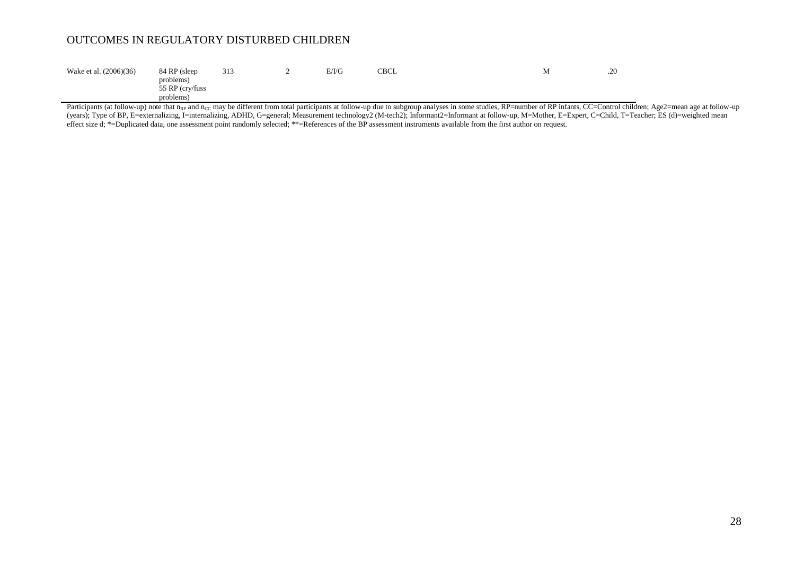| Wake et al. (2006)(36) | 84 RP (sleep                 | 313 | E/I/G | CBCL | .20 |
|------------------------|------------------------------|-----|-------|------|-----|
|                        | problems)<br>55 RP (cry/fuss |     |       |      |     |
|                        | problems)                    |     |       |      |     |

Participants (at follow-up) note that nRP and n<sub>CC</sub> may be different from total participants at follow-up due to subgroup analyses in some studies, RP=number of RP infants, CC=Control children; Age2=mean age at follow-up (years); Type of BP, E=externalizing, I=internalizing, ADHD, G=general; Measurement technology2 (M-tech2); Informant2=Informant at follow-up, M=Mother, E=Expert, C=Child, T=Teacher; ES (d)=weighted mean effect size d; \*=Duplicated data, one assessment point randomly selected; \*\*=References of the BP assessment instruments available from the first author on request.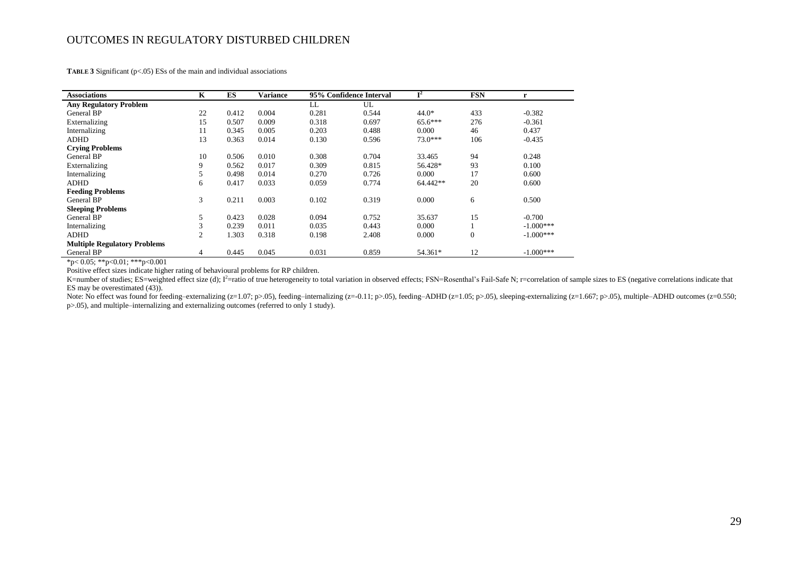**TABLE 3** Significant (p<.05) ESs of the main and individual associations

| <b>Associations</b>                 | K              | ES    | <b>Variance</b> |       | 95% Confidence Interval | $I^2$     | <b>FSN</b>     | r           |
|-------------------------------------|----------------|-------|-----------------|-------|-------------------------|-----------|----------------|-------------|
| <b>Any Regulatory Problem</b>       |                |       |                 | LL    | UL                      |           |                |             |
| <b>General BP</b>                   | 22             | 0.412 | 0.004           | 0.281 | 0.544                   | $44.0*$   | 433            | $-0.382$    |
| Externalizing                       | 15             | 0.507 | 0.009           | 0.318 | 0.697                   | $65.6***$ | 276            | $-0.361$    |
| Internalizing                       | 11             | 0.345 | 0.005           | 0.203 | 0.488                   | 0.000     | 46             | 0.437       |
| <b>ADHD</b>                         | 13             | 0.363 | 0.014           | 0.130 | 0.596                   | $73.0***$ | 106            | $-0.435$    |
| <b>Crying Problems</b>              |                |       |                 |       |                         |           |                |             |
| <b>General BP</b>                   | 10             | 0.506 | 0.010           | 0.308 | 0.704                   | 33.465    | 94             | 0.248       |
| Externalizing                       | 9              | 0.562 | 0.017           | 0.309 | 0.815                   | 56.428*   | 93             | 0.100       |
| Internalizing                       | 5              | 0.498 | 0.014           | 0.270 | 0.726                   | 0.000     | 17             | 0.600       |
| <b>ADHD</b>                         | 6              | 0.417 | 0.033           | 0.059 | 0.774                   | 64.442**  | 20             | 0.600       |
| <b>Feeding Problems</b>             |                |       |                 |       |                         |           |                |             |
| General BP                          | 3              | 0.211 | 0.003           | 0.102 | 0.319                   | 0.000     | 6              | 0.500       |
| <b>Sleeping Problems</b>            |                |       |                 |       |                         |           |                |             |
| General BP                          | 5              | 0.423 | 0.028           | 0.094 | 0.752                   | 35.637    | 15             | $-0.700$    |
| Internalizing                       | 3              | 0.239 | 0.011           | 0.035 | 0.443                   | 0.000     |                | $-1.000***$ |
| <b>ADHD</b>                         | $\overline{2}$ | 1.303 | 0.318           | 0.198 | 2.408                   | 0.000     | $\overline{0}$ | $-1.000***$ |
| <b>Multiple Regulatory Problems</b> |                |       |                 |       |                         |           |                |             |
| <b>General BP</b>                   | 4              | 0.445 | 0.045           | 0.031 | 0.859                   | 54.361*   | 12             | $-1.000***$ |

\*p< 0.05; \*\*p<0.01; \*\*\*p<0.001

Positive effect sizes indicate higher rating of behavioural problems for RP children.

K=number of studies; ES=weighted effect size (d); I<sup>2</sup>=ratio of true heterogeneity to total variation in observed effects; FSN=Rosenthal's Fail-Safe N; r=correlation of sample sizes to ES (negative correlations indicate th ES may be overestimated (43)).

Note: No effect was found for feeding–externalizing (z=1.07; p>.05), feeding–internalizing (z=0.11; p>.05), feeding–ADHD (z=1.05; p>.05), sleeping-externalizing (z=1.667; p>.05), multiple–ADHD outcomes (z=0.550; p>.05), and multiple–internalizing and externalizing outcomes (referred to only 1 study).